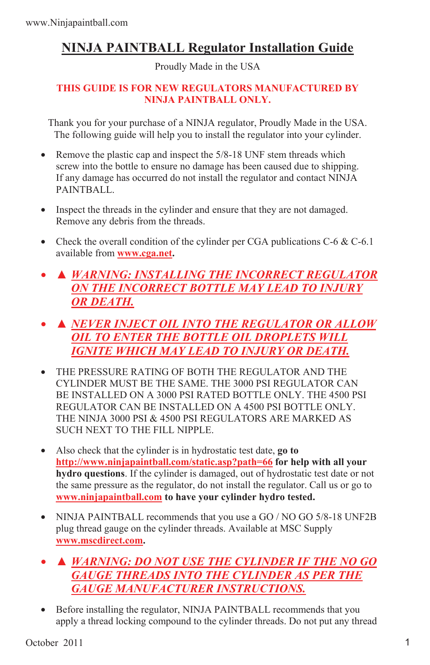## **NINJA PAINTBALL Regulator Installation Guide**

Proudly Made in the USA

## **THIS GUIDE IS FOR NEW REGULATORS MANUFACTURED BY NINJA PAINTBALL ONLY.**

Thank you for your purchase of a NINJA regulator, Proudly Made in the USA. The following guide will help you to install the regulator into your cylinder.

- Remove the plastic cap and inspect the 5/8-18 UNF stem threads which screw into the bottle to ensure no damage has been caused due to shipping. If any damage has occurred do not install the regulator and contact NINJA PAINTBALL.
- Inspect the threads in the cylinder and ensure that they are not damaged. Remove any debris from the threads.
- Check the overall condition of the cylinder per CGA publications  $C 6 \& C 6.1$ available from **www.cga.net.**
- *▲ WARNING: INSTALLING THE INCORRECT REGULATOR ON THE INCORRECT BOTTLE MAY LEAD TO INJURY OR DEATH.*
- *▲ NEVER INJECT OIL INTO THE REGULATOR OR ALLOW OIL TO ENTER THE BOTTLE OIL DROPLETS WILL IGNITE WHICH MAY LEAD TO INJURY OR DEATH.*
- THE PRESSURE RATING OF BOTH THE REGULATOR AND THE CYLINDER MUST BE THE SAME. THE 3000 PSI REGULATOR CAN BE INSTALLED ON A 3000 PSI RATED BOTTLE ONLY. THE 4500 PSI REGULATOR CAN BE INSTALLED ON A 4500 PSI BOTTLE ONLY. THE NINJA 3000 PSI & 4500 PSI REGULATORS ARE MARKED AS SUCH NEXT TO THE FILL NIPPLE.
- Also check that the cylinder is in hydrostatic test date, **go to http://www.ninjapaintball.com/static.asp?path=66 for help with all your hydro questions**. If the cylinder is damaged, out of hydrostatic test date or not the same pressure as the regulator, do not install the regulator. Call us or go to **www.ninjapaintball.com to have your cylinder hydro tested.**
- NINJA PAINTBALL recommends that you use a GO / NO GO 5/8-18 UNF2B plug thread gauge on the cylinder threads. Available at MSC Supply **www.mscdirect.com.**
- *▲ WARNING: DO NOT USE THE CYLINDER IF THE NO GO GAUGE THREADS INTO THE CYLINDER AS PER THE GAUGE MANUFACTURER INSTRUCTIONS.*
- Before installing the regulator, NINJA PAINTBALL recommends that you apply a thread locking compound to the cylinder threads. Do not put any thread